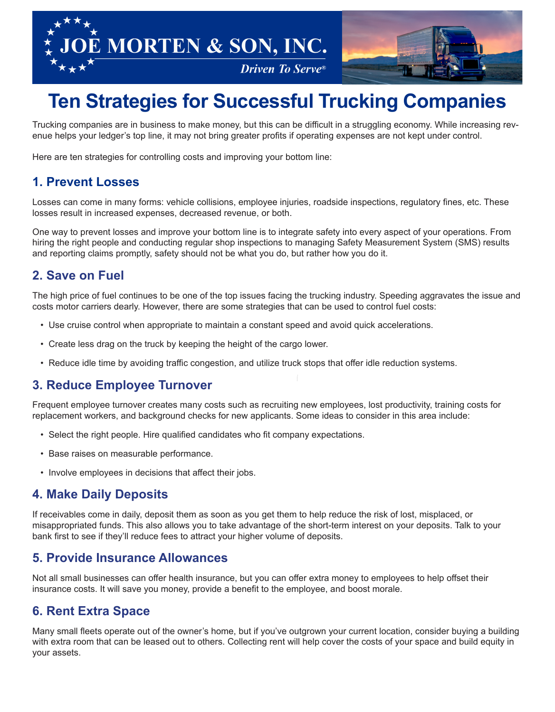



# **Ten Strategies for Successful Trucking Companies**

Trucking companies are in business to make money, but this can be difficult in a struggling economy. While increasing revenue helps your ledger's top line, it may not bring greater profits if operating expenses are not kept under control.

Here are ten strategies for controlling costs and improving your bottom line:

## **1. Prevent Losses**

Losses can come in many forms: vehicle collisions, employee injuries, roadside inspections, regulatory fines, etc. These losses result in increased expenses, decreased revenue, or both.

One way to prevent losses and improve your bottom line is to integrate safety into every aspect of your operations. From hiring the right people and conducting regular shop inspections to managing Safety Measurement System (SMS) results and reporting claims promptly, safety should not be what you do, but rather how you do it.

### **2. Save on Fuel**

The high price of fuel continues to be one of the top issues facing the trucking industry. Speeding aggravates the issue and costs motor carriers dearly. However, there are some strategies that can be used to control fuel costs:

- Use cruise control when appropriate to maintain a constant speed and avoid quick accelerations.
- Create less drag on the truck by keeping the height of the cargo lower.
- Reduce idle time by avoiding traffic congestion, and utilize truck stops that offer idle reduction systems.

## **3. Reduce Employee Turnover**

Frequent employee turnover creates many costs such as recruiting new employees, lost productivity, training costs for replacement workers, and background checks for new applicants. Some ideas to consider in this area include:

- Select the right people. Hire qualified candidates who fit company expectations.
- Base raises on measurable performance.
- Involve employees in decisions that affect their jobs.

## **4. Make Daily Deposits**

If receivables come in daily, deposit them as soon as you get them to help reduce the risk of lost, misplaced, or misappropriated funds. This also allows you to take advantage of the short-term interest on your deposits. Talk to your bank first to see if they'll reduce fees to attract your higher volume of deposits.

#### **5. Provide Insurance Allowances**

Not all small businesses can offer health insurance, but you can offer extra money to employees to help offset their insurance costs. It will save you money, provide a benefit to the employee, and boost morale.

## **6. Rent Extra Space**

Many small fleets operate out of the owner's home, but if you've outgrown your current location, consider buying a building with extra room that can be leased out to others. Collecting rent will help cover the costs of your space and build equity in your assets.